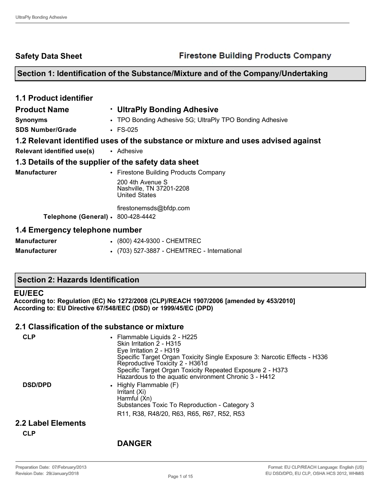# **Safety Data Sheet**

# **Section 1: Identification of the Substance/Mixture and of the Company/Undertaking**

| <b>1.1 Product identifier</b>                        |                                                                                   |
|------------------------------------------------------|-----------------------------------------------------------------------------------|
| <b>Product Name</b>                                  | • UltraPly Bonding Adhesive                                                       |
| <b>Synonyms</b>                                      | • TPO Bonding Adhesive 5G; UltraPly TPO Bonding Adhesive                          |
| <b>SDS Number/Grade</b>                              | $\cdot$ FS-025                                                                    |
|                                                      | 1.2 Relevant identified uses of the substance or mixture and uses advised against |
| <b>Relevant identified use(s)</b>                    | • Adhesive                                                                        |
| 1.3 Details of the supplier of the safety data sheet |                                                                                   |
| <b>Manufacturer</b>                                  | • Firestone Building Products Company                                             |
|                                                      | 200 4th Avenue S<br>Nashville, TN 37201-2208<br><b>United States</b>              |
|                                                      | firestonemsds@bfdp.com                                                            |
| Telephone (General) · 800-428-4442                   |                                                                                   |
| 1.4 Emergency telephone number                       |                                                                                   |
| <b>Manufacturer</b>                                  | • (800) 424-9300 - CHEMTREC                                                       |
| <b>Manufacturer</b><br>$\bullet$                     | (703) 527-3887 - CHEMTREC - International                                         |

## **Section 2: Hazards Identification**

#### **EU/EEC**

**According to: Regulation (EC) No 1272/2008 (CLP)/REACH 1907/2006 [amended by 453/2010] According to: EU Directive 67/548/EEC (DSD) or 1999/45/EC (DPD)** 

# **2.1 Classification of the substance or mixture**

| <b>CLP</b>                | • Flammable Liquids 2 - H225<br>Skin Irritation 2 - H315<br>Eye Irritation 2 - H319<br>Specific Target Organ Toxicity Single Exposure 3: Narcotic Effects - H336<br>Reproductive Toxicity 2 - H361d<br>Specific Target Organ Toxicity Repeated Exposure 2 - H373<br>Hazardous to the aquatic environment Chronic 3 - H412 |
|---------------------------|---------------------------------------------------------------------------------------------------------------------------------------------------------------------------------------------------------------------------------------------------------------------------------------------------------------------------|
| <b>DSD/DPD</b>            | • Highly Flammable (F)<br>Irritant (Xi)<br>Harmful (Xn)<br>Substances Toxic To Reproduction - Category 3<br>R <sub>11</sub> , R <sub>38</sub> , R <sub>48</sub> /20, R <sub>63</sub> , R <sub>65</sub> , R <sub>67</sub> , R <sub>52</sub> , R <sub>53</sub>                                                              |
| <b>2.2 Label Elements</b> |                                                                                                                                                                                                                                                                                                                           |

**CLP**

# **DANGER**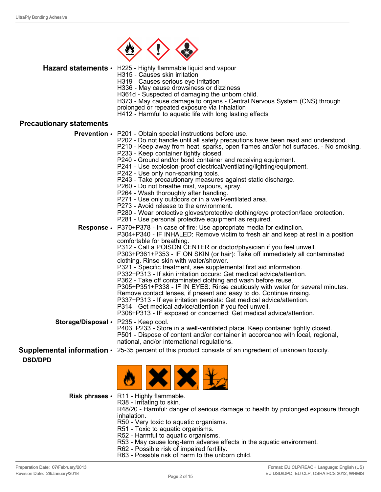

|                                   | Hazard statements • H225 - Highly flammable liquid and vapour<br>H315 - Causes skin irritation<br>H319 - Causes serious eye irritation<br>H336 - May cause drowsiness or dizziness<br>H361d - Suspected of damaging the unborn child.<br>H373 - May cause damage to organs - Central Nervous System (CNS) through<br>prolonged or repeated exposure via Inhalation<br>H412 - Harmful to aquatic life with long lasting effects                                                                                                                                                                                                                                                                                                                                                                                                                                                                                                       |
|-----------------------------------|--------------------------------------------------------------------------------------------------------------------------------------------------------------------------------------------------------------------------------------------------------------------------------------------------------------------------------------------------------------------------------------------------------------------------------------------------------------------------------------------------------------------------------------------------------------------------------------------------------------------------------------------------------------------------------------------------------------------------------------------------------------------------------------------------------------------------------------------------------------------------------------------------------------------------------------|
| <b>Precautionary statements</b>   |                                                                                                                                                                                                                                                                                                                                                                                                                                                                                                                                                                                                                                                                                                                                                                                                                                                                                                                                      |
| <b>Prevention •</b><br>Response • | P201 - Obtain special instructions before use.<br>P202 - Do not handle until all safety precautions have been read and understood.<br>P210 - Keep away from heat, sparks, open flames and/or hot surfaces. - No smoking.<br>P233 - Keep container tightly closed.<br>P240 - Ground and/or bond container and receiving equipment.<br>P241 - Use explosion-proof electrical/ventilating/lighting/equipment.<br>P242 - Use only non-sparking tools.<br>P243 - Take precautionary measures against static discharge.<br>P260 - Do not breathe mist, vapours, spray.<br>P264 - Wash thoroughly after handling.<br>P271 - Use only outdoors or in a well-ventilated area.<br>P273 - Avoid release to the environment.<br>P280 - Wear protective gloves/protective clothing/eye protection/face protection.<br>P281 - Use personal protective equipment as required.<br>P370+P378 - In case of fire: Use appropriate media for extinction. |
|                                   | P304+P340 - IF INHALED: Remove victim to fresh air and keep at rest in a position<br>comfortable for breathing.<br>P312 - Call a POISON CENTER or doctor/physician if you feel unwell.<br>P303+P361+P353 - IF ON SKIN (or hair): Take off immediately all contaminated<br>clothing. Rinse skin with water/shower.<br>P321 - Specific treatment, see supplemental first aid information.<br>P332+P313 - If skin irritation occurs: Get medical advice/attention.<br>P362 - Take off contaminated clothing and wash before reuse.<br>P305+P351+P338 - IF IN EYES: Rinse cautiously with water for several minutes.<br>Remove contact lenses, if present and easy to do. Continue rinsing.<br>P337+P313 - If eye irritation persists: Get medical advice/attention.<br>P314 - Get medical advice/attention if you feel unwell.<br>P308+P313 - IF exposed or concerned: Get medical advice/attention.                                    |
| Storage/Disposal .                | P235 - Keep cool.<br>P403+P233 - Store in a well-ventilated place. Keep container tightly closed.<br>P501 - Dispose of content and/or container in accordance with local, regional,<br>national, and/or international regulations.                                                                                                                                                                                                                                                                                                                                                                                                                                                                                                                                                                                                                                                                                                   |
| <b>DSD/DPD</b>                    | <b>Supplemental information</b> • 25-35 percent of this product consists of an ingredient of unknown toxicity.                                                                                                                                                                                                                                                                                                                                                                                                                                                                                                                                                                                                                                                                                                                                                                                                                       |
|                                   | <b>XXI</b>                                                                                                                                                                                                                                                                                                                                                                                                                                                                                                                                                                                                                                                                                                                                                                                                                                                                                                                           |
|                                   | Risk phrases • R11 - Highly flammable.<br>R38 - Irritating to skin.<br>R48/20 - Harmful: danger of serious damage to health by prolonged exposure through<br>inhalation.<br>R50 - Very toxic to aquatic organisms.<br>R51 - Toxic to aquatic organisms.<br>R52 - Harmful to aquatic organisms.<br>R53 - May cause long-term adverse effects in the aquatic environment.                                                                                                                                                                                                                                                                                                                                                                                                                                                                                                                                                              |

R63 - Possible risk of harm to the unborn child.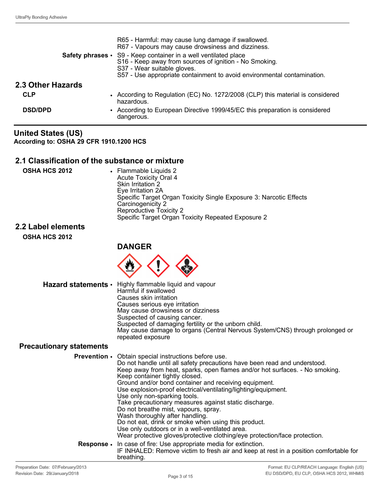|                          | R65 - Harmful: may cause lung damage if swallowed.<br>R67 - Vapours may cause drowsiness and dizziness.                                                                                                                             |
|--------------------------|-------------------------------------------------------------------------------------------------------------------------------------------------------------------------------------------------------------------------------------|
|                          | Safety phrases • S9 - Keep container in a well ventilated place<br>S16 - Keep away from sources of ignition - No Smoking.<br>S37 - Wear suitable gloves.<br>S57 - Use appropriate containment to avoid environmental contamination. |
| <b>2.3 Other Hazards</b> |                                                                                                                                                                                                                                     |
| <b>CLP</b>               | • According to Regulation (EC) No. 1272/2008 (CLP) this material is considered<br>hazardous.                                                                                                                                        |
| <b>DSD/DPD</b>           | • According to European Directive 1999/45/EC this preparation is considered<br>dangerous.                                                                                                                                           |

## **United States (US) According to: OSHA 29 CFR 1910.1200 HCS**

# **2.1 Classification of the substance or mixture**

| Eye Irritation 2A<br>Carcinogenicity 2<br>Reproductive Toxicity 2<br>Specific Target Organ Toxicity Repeated Exposure 2 | <b>OSHA HCS 2012</b> | • Flammable Liquids 2<br><b>Acute Toxicity Oral 4</b><br>Skin Irritation 2<br>Specific Target Organ Toxicity Single Exposure 3: Narcotic Effects |
|-------------------------------------------------------------------------------------------------------------------------|----------------------|--------------------------------------------------------------------------------------------------------------------------------------------------|
|-------------------------------------------------------------------------------------------------------------------------|----------------------|--------------------------------------------------------------------------------------------------------------------------------------------------|

# **2.2 Label elements**

**OSHA HCS 2012**

**DANGER**



| Hazard statements • Highly flammable liquid and vapour<br>Harmful if swallowed<br>Causes skin irritation<br>Causes serious eye irritation<br>May cause drowsiness or dizziness<br>Suspected of causing cancer.<br>Suspected of damaging fertility or the unborn child.<br>May cause damage to organs (Central Nervous System/CNS) through prolonged or |
|--------------------------------------------------------------------------------------------------------------------------------------------------------------------------------------------------------------------------------------------------------------------------------------------------------------------------------------------------------|
|                                                                                                                                                                                                                                                                                                                                                        |
| repeated exposure                                                                                                                                                                                                                                                                                                                                      |

### **Precautionary statements**

| <b>Prevention •</b> Obtain special instructions before use.<br>Do not handle until all safety precautions have been read and understood.<br>Keep away from heat, sparks, open flames and/or hot surfaces. - No smoking.<br>Keep container tightly closed.<br>Ground and/or bond container and receiving equipment.<br>Use explosion-proof electrical/ventilating/lighting/equipment.<br>Use only non-sparking tools.<br>Take precautionary measures against static discharge.<br>Do not breathe mist, vapours, spray.<br>Wash thoroughly after handling.<br>Do not eat, drink or smoke when using this product.<br>Use only outdoors or in a well-ventilated area.<br>Wear protective gloves/protective clothing/eye protection/face protection. |
|--------------------------------------------------------------------------------------------------------------------------------------------------------------------------------------------------------------------------------------------------------------------------------------------------------------------------------------------------------------------------------------------------------------------------------------------------------------------------------------------------------------------------------------------------------------------------------------------------------------------------------------------------------------------------------------------------------------------------------------------------|
| <b>Response</b> • In case of fire: Use appropriate media for extinction.<br>IF INHALED: Remove victim to fresh air and keep at rest in a position comfortable for<br>breathing.                                                                                                                                                                                                                                                                                                                                                                                                                                                                                                                                                                  |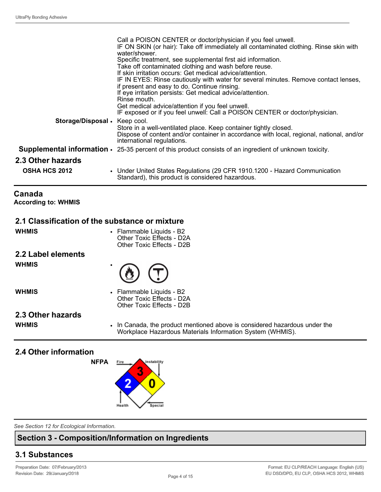|                               | Call a POISON CENTER or doctor/physician if you feel unwell.<br>IF ON SKIN (or hair): Take off immediately all contaminated clothing. Rinse skin with<br>water/shower.<br>Specific treatment, see supplemental first aid information.<br>Take off contaminated clothing and wash before reuse.<br>If skin irritation occurs: Get medical advice/attention.<br>IF IN EYES: Rinse cautiously with water for several minutes. Remove contact lenses,<br>if present and easy to do. Continue rinsing.<br>If eye irritation persists: Get medical advice/attention.<br>Rinse mouth.<br>Get medical advice/attention if you feel unwell.<br>IF exposed or if you feel unwell: Call a POISON CENTER or doctor/physician. |
|-------------------------------|-------------------------------------------------------------------------------------------------------------------------------------------------------------------------------------------------------------------------------------------------------------------------------------------------------------------------------------------------------------------------------------------------------------------------------------------------------------------------------------------------------------------------------------------------------------------------------------------------------------------------------------------------------------------------------------------------------------------|
| Storage/Disposal • Keep cool. | Store in a well-ventilated place. Keep container tightly closed.<br>Dispose of content and/or container in accordance with local, regional, national, and/or<br>international regulations.                                                                                                                                                                                                                                                                                                                                                                                                                                                                                                                        |
|                               | <b>Supplemental information <math>\cdot</math></b> 25-35 percent of this product consists of an ingredient of unknown toxicity.                                                                                                                                                                                                                                                                                                                                                                                                                                                                                                                                                                                   |
| 2.3 Other hazards             |                                                                                                                                                                                                                                                                                                                                                                                                                                                                                                                                                                                                                                                                                                                   |
| <b>OSHA HCS 2012</b>          | • Under United States Regulations (29 CFR 1910.1200 - Hazard Communication<br>Standard), this product is considered hazardous.                                                                                                                                                                                                                                                                                                                                                                                                                                                                                                                                                                                    |

# **Canada**

**According to: WHMIS** 

# **2.1 Classification of the substance or mixture**

| <b>WHMIS</b>       | • Flammable Liquids - B2<br>Other Toxic Effects - D2A<br>Other Toxic Effects - D2B                                                      |
|--------------------|-----------------------------------------------------------------------------------------------------------------------------------------|
| 2.2 Label elements |                                                                                                                                         |
| <b>WHMIS</b>       | $\circled{b}$ $(T)$                                                                                                                     |
| <b>WHMIS</b>       | • Flammable Liquids - B2<br>Other Toxic Effects - D2A<br>Other Toxic Effects - D2B                                                      |
| 2.3 Other hazards  |                                                                                                                                         |
| <b>WHMIS</b>       | • In Canada, the product mentioned above is considered hazardous under the<br>Workplace Hazardous Materials Information System (WHMIS). |

**2.4 Other information**





*See Section 12 for Ecological Information.* 

# **Section 3 - Composition/Information on Ingredients**

# **3.1 Substances**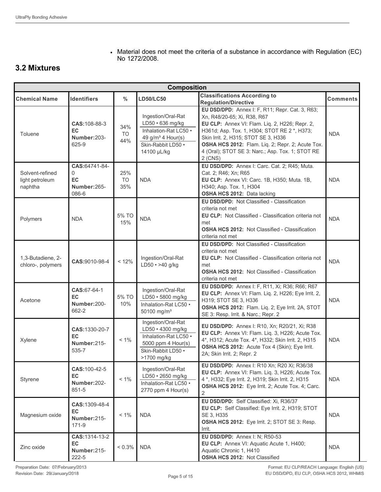• Material does not meet the criteria of a substance in accordance with Regulation (EC) No 1272/2008.

# **3.2 Mixtures**

| <b>Composition</b>                            |                                                    |                              |                                                                                                                                       |                                                                                                                                                                                                                                                                                                                                               |            |
|-----------------------------------------------|----------------------------------------------------|------------------------------|---------------------------------------------------------------------------------------------------------------------------------------|-----------------------------------------------------------------------------------------------------------------------------------------------------------------------------------------------------------------------------------------------------------------------------------------------------------------------------------------------|------------|
| <b>Chemical Name</b>                          | <b>Identifiers</b>                                 | $\frac{0}{0}$                | <b>LD50/LC50</b>                                                                                                                      | <b>Classifications According to</b><br><b>Regulation/Directive</b>                                                                                                                                                                                                                                                                            | Comments   |
| Toluene                                       | CAS: 108-88-3<br><b>EC</b><br>Number:203-<br>625-9 | 34%<br>T <sub>O</sub><br>44% | Ingestion/Oral-Rat<br>LD50 · 636 mg/kg<br>Inhalation-Rat LC50 •<br>49 g/m <sup>3</sup> 4 Hour(s)<br>Skin-Rabbit LD50 ·<br>14100 µL/kg | EU DSD/DPD: Annex I: F, R11; Repr. Cat. 3, R63;<br>Xn, R48/20-65; Xi, R38, R67<br>EU CLP: Annex VI: Flam. Liq. 2, H226; Repr. 2,<br>H361d; Asp. Tox. 1, H304; STOT RE 2 *, H373;<br>Skin Irrit. 2, H315; STOT SE 3, H336<br>OSHA HCS 2012: Flam. Liq. 2; Repr. 2; Acute Tox.<br>4 (Oral); STOT SE 3: Narc.; Asp. Tox. 1; STOT RE<br>$2$ (CNS) | <b>NDA</b> |
| Solvent-refined<br>light petroleum<br>naphtha | CAS:64741-84-<br>0<br>EC<br>Number:265-<br>086-6   | 25%<br><b>TO</b><br>35%      | <b>NDA</b>                                                                                                                            | EU DSD/DPD: Annex I: Carc. Cat. 2; R45; Muta.<br>Cat. 2; R46; Xn; R65<br>EU CLP: Annex VI: Carc. 1B, H350; Muta. 1B,<br>H340; Asp. Tox. 1, H304<br>OSHA HCS 2012: Data lacking                                                                                                                                                                | <b>NDA</b> |
| Polymers                                      | <b>NDA</b>                                         | 5% TO<br>15%                 | <b>NDA</b>                                                                                                                            | EU DSD/DPD: Not Classified - Classification<br>criteria not met<br>EU CLP: Not Classified - Classification criteria not<br>met<br><b>OSHA HCS 2012: Not Classified - Classification</b><br>criteria not met                                                                                                                                   | <b>NDA</b> |
| 1,3-Butadiene, 2-<br>chloro-, polymers        | CAS: 9010-98-4                                     | < 12%                        | Ingestion/Oral-Rat<br>$LD50 \cdot > 40$ g/kg                                                                                          | EU DSD/DPD: Not Classified - Classification<br>criteria not met<br>EU CLP: Not Classified - Classification criteria not<br>met<br><b>OSHA HCS 2012: Not Classified - Classification</b><br>criteria not met                                                                                                                                   | <b>NDA</b> |
| Acetone                                       | CAS:67-64-1<br>EC<br>Number:200-<br>662-2          | 5% TO<br>10%                 | Ingestion/Oral-Rat<br>LD50 · 5800 mg/kg<br>Inhalation-Rat LC50 .<br>50100 mg/m <sup>3</sup>                                           | EU DSD/DPD: Annex I: F, R11, Xi; R36; R66; R67<br>EU CLP: Annex VI: Flam. Liq. 2, H226; Eye Irrit. 2,<br>H319; STOT SE 3, H336<br>OSHA HCS 2012: Flam. Liq. 2; Eye Irrit. 2A, STOT<br>SE 3: Resp. Irrit. & Narc.; Repr. 2                                                                                                                     | <b>NDA</b> |
| Xylene                                        | CAS: 1330-20-7<br>EC<br>Number:215-<br>535-7       | $< 1\%$                      | Ingestion/Oral-Rat<br>LD50 · 4300 mg/kg<br>Inhalation-Rat LC50 .<br>5000 ppm 4 Hour(s)<br>Skin-Rabbit LD50 ·<br>>1700 mg/kg           | <b>EU DSD/DPD:</b> Annex I: R10, Xn; R20/21, Xi; R38<br>EU CLP: Annex VI: Flam. Liq. 3, H226; Acute Tox.<br>4*, H312; Acute Tox. 4*, H332; Skin Irrit. 2, H315<br>OSHA HCS 2012: Acute Tox 4 (Skin); Eye Irrit.<br>2A; Skin Irrit. 2; Repr. 2                                                                                                 | <b>NDA</b> |
| Styrene                                       | CAS: 100-42-5<br>EC.<br>Number:202-<br>851-5       | $< 1\%$                      | Ingestion/Oral-Rat<br>LD50 · 2650 mg/kg<br>Inhalation-Rat LC50 .<br>2770 ppm 4 Hour(s)                                                | EU DSD/DPD: Annex I: R10 Xn; R20 Xi; R36/38<br>EU CLP: Annex VI: Flam. Liq. 3, H226; Acute Tox.<br>4*, H332; Eye Irrit. 2, H319; Skin Irrit. 2, H315<br>OSHA HCS 2012: Eye Irrit. 2; Acute Tox. 4; Carc.<br>2                                                                                                                                 | <b>NDA</b> |
| Magnesium oxide                               | CAS: 1309-48-4<br>EC<br>Number:215-<br>$171-9$     | $< 1\%$                      | <b>NDA</b>                                                                                                                            | EU DSD/DPD: Self Classified: Xi, R36/37<br>EU CLP: Self Classified: Eye Irrit. 2, H319; STOT<br>SE 3, H335<br>OSHA HCS 2012: Eye Irrit. 2; STOT SE 3: Resp.<br>Irrit.                                                                                                                                                                         | <b>NDA</b> |
| Zinc oxide                                    | CAS: 1314-13-2<br>EC<br>Number:215-<br>222-5       | $< 0.3\%$                    | <b>NDA</b>                                                                                                                            | EU DSD/DPD: Annex I: N; R50-53<br>EU CLP: Annex VI: Aquatic Acute 1, H400;<br>Aquatic Chronic 1, H410<br>OSHA HCS 2012: Not Classified                                                                                                                                                                                                        | <b>NDA</b> |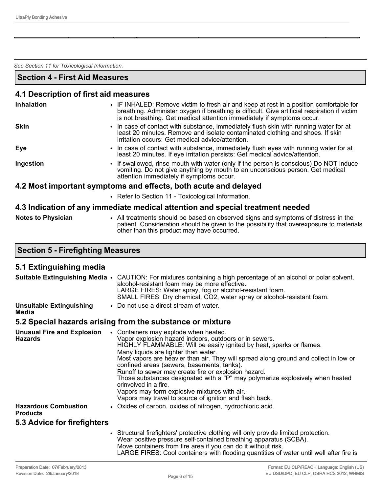*See Section 11 for Toxicological Information.* 

## **Section 4 - First Aid Measures**

# **4.1 Description of first aid measures**

| <b>Inhalation</b>                                                              | • IF INHALED: Remove victim to fresh air and keep at rest in a position comfortable for<br>breathing. Administer oxygen if breathing is difficult. Give artificial respiration if victim<br>is not breathing. Get medical attention immediately if symptoms occur. |  |
|--------------------------------------------------------------------------------|--------------------------------------------------------------------------------------------------------------------------------------------------------------------------------------------------------------------------------------------------------------------|--|
| <b>Skin</b>                                                                    | • In case of contact with substance, immediately flush skin with running water for at<br>least 20 minutes. Remove and isolate contaminated clothing and shoes. If skin<br>irritation occurs: Get medical advice/attention.                                         |  |
| Eye                                                                            | • In case of contact with substance, immediately flush eyes with running water for at<br>least 20 minutes. If eye irritation persists: Get medical advice/attention.                                                                                               |  |
| Ingestion                                                                      | • If swallowed, rinse mouth with water (only if the person is conscious) Do NOT induce<br>vomiting. Do not give anything by mouth to an unconscious person. Get medical<br>attention immediately if symptoms occur.                                                |  |
| 4.2 Most important symptoms and effects, both acute and delayed                |                                                                                                                                                                                                                                                                    |  |
|                                                                                | • Refer to Section 11 - Toxicological Information.                                                                                                                                                                                                                 |  |
| 4.3 Indication of any immediate medical attention and special treatment needed |                                                                                                                                                                                                                                                                    |  |

| <b>Notes to Physician</b> | All treatments should be based on observed signs and symptoms of distress in the         |
|---------------------------|------------------------------------------------------------------------------------------|
|                           | patient. Consideration should be given to the possibility that overexposure to materials |
|                           | other than this product may have occurred.                                               |

# **Section 5 - Firefighting Measures**

# **5.1 Extinguishing media**

|                                                     | Suitable Extinguishing Media • CAUTION: For mixtures containing a high percentage of an alcohol or polar solvent,<br>alcohol-resistant foam may be more effective.<br>LARGE FIRES: Water spray, fog or alcohol-resistant foam.<br>SMALL FIRES: Dry chemical, CO2, water spray or alcohol-resistant foam.                                                                                                                                                                                                                                                                                                                           |
|-----------------------------------------------------|------------------------------------------------------------------------------------------------------------------------------------------------------------------------------------------------------------------------------------------------------------------------------------------------------------------------------------------------------------------------------------------------------------------------------------------------------------------------------------------------------------------------------------------------------------------------------------------------------------------------------------|
| <b>Unsuitable Extinguishing</b><br>Media            | • Do not use a direct stream of water.                                                                                                                                                                                                                                                                                                                                                                                                                                                                                                                                                                                             |
|                                                     | 5.2 Special hazards arising from the substance or mixture                                                                                                                                                                                                                                                                                                                                                                                                                                                                                                                                                                          |
| <b>Unusual Fire and Explosion</b><br><b>Hazards</b> | • Containers may explode when heated.<br>Vapor explosion hazard indoors, outdoors or in sewers.<br>HIGHLY FLAMMABLE: Will be easily ignited by heat, sparks or flames.<br>Many liquids are lighter than water.<br>Most vapors are heavier than air. They will spread along ground and collect in low or<br>confined areas (sewers, basements, tanks).<br>Runoff to sewer may create fire or explosion hazard.<br>Those substances designated with a "P" may polymerize explosively when heated<br>orinvolved in a fire.<br>Vapors may form explosive mixtures with air.<br>Vapors may travel to source of ignition and flash back. |
| <b>Hazardous Combustion</b><br><b>Products</b>      | • Oxides of carbon, oxides of nitrogen, hydrochloric acid.                                                                                                                                                                                                                                                                                                                                                                                                                                                                                                                                                                         |
| 5.3 Advice for firefighters                         |                                                                                                                                                                                                                                                                                                                                                                                                                                                                                                                                                                                                                                    |
|                                                     | • Structural firefighters' protective clothing will only provide limited protection.<br>Wear positive pressure self-contained breathing apparatus (SCBA).                                                                                                                                                                                                                                                                                                                                                                                                                                                                          |

Move containers from fire area if you can do it without risk.

LARGE FIRES: Cool containers with flooding quantities of water until well after fire is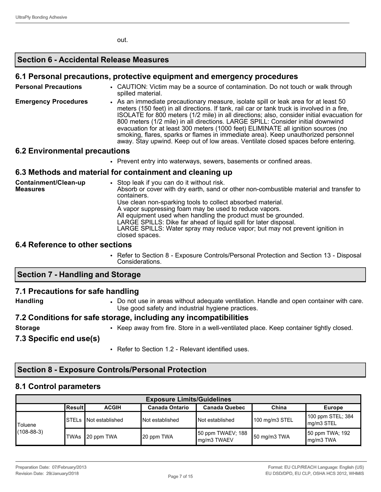out.

# **Section 6 - Accidental Release Measures**

# **6.1 Personal precautions, protective equipment and emergency procedures**

| <b>Personal Precautions</b> | • CAUTION: Victim may be a source of contamination. Do not touch or walk through<br>spilled material.                                                                                                                                                                                                                                                                                                                                                                                                                                                                                                                               |
|-----------------------------|-------------------------------------------------------------------------------------------------------------------------------------------------------------------------------------------------------------------------------------------------------------------------------------------------------------------------------------------------------------------------------------------------------------------------------------------------------------------------------------------------------------------------------------------------------------------------------------------------------------------------------------|
| <b>Emergency Procedures</b> | • As an immediate precautionary measure, isolate spill or leak area for at least 50<br>meters (150 feet) in all directions. If tank, rail car or tank truck is involved in a fire,<br>ISOLATE for 800 meters (1/2 mile) in all directions; also, consider initial evacuation for<br>800 meters (1/2 mile) in all directions. LARGE SPILL: Consider initial downwind<br>evacuation for at least 300 meters (1000 feet) ELIMINATE all ignition sources (no<br>smoking, flares, sparks or flames in immediate area). Keep unauthorized personnel<br>away. Stay upwind. Keep out of low areas. Ventilate closed spaces before entering. |

# **6.2 Environmental precautions**

• Prevent entry into waterways, sewers, basements or confined areas.

# **6.3 Methods and material for containment and cleaning up**

| Containment/Clean-up<br><b>Measures</b> | • Stop leak if you can do it without risk.<br>Absorb or cover with dry earth, sand or other non-combustible material and transfer to<br>containers.<br>Use clean non-sparking tools to collect absorbed material.<br>A vapor suppressing foam may be used to reduce vapors.<br>All equipment used when handling the product must be grounded.<br>LARGE SPILLS: Dike far ahead of liquid spill for later disposal.<br>LARGE SPILLS: Water spray may reduce vapor; but may not prevent ignition in<br>closed spaces. |
|-----------------------------------------|--------------------------------------------------------------------------------------------------------------------------------------------------------------------------------------------------------------------------------------------------------------------------------------------------------------------------------------------------------------------------------------------------------------------------------------------------------------------------------------------------------------------|
|-----------------------------------------|--------------------------------------------------------------------------------------------------------------------------------------------------------------------------------------------------------------------------------------------------------------------------------------------------------------------------------------------------------------------------------------------------------------------------------------------------------------------------------------------------------------------|

# **6.4 Reference to other sections**

• Refer to Section 8 - Exposure Controls/Personal Protection and Section 13 - Disposal Considerations.

# **Section 7 - Handling and Storage**

# **7.1 Precautions for safe handling**

**Handling** • Do not use in areas without adequate ventilation. Handle and open container with care. Use good safety and industrial hygiene practices.

# **7.2 Conditions for safe storage, including any incompatibilities**

**Storage** • Keep away from fire. Store in a well-ventilated place. Keep container tightly closed.

# **7.3 Specific end use(s)**

• Refer to Section 1.2 - Relevant identified uses.

# **Section 8 - Exposure Controls/Personal Protection**

# **8.1 Control parameters**

| <b>Exposure Limits/Guidelines</b> |                                                                                                   |                               |                 |                                   |                |                                 |  |
|-----------------------------------|---------------------------------------------------------------------------------------------------|-------------------------------|-----------------|-----------------------------------|----------------|---------------------------------|--|
|                                   | Result<br><b>Canada Ontario</b><br><b>ACGIH</b><br><b>Canada Quebec</b><br>China<br><b>Europe</b> |                               |                 |                                   |                |                                 |  |
| Toluene                           |                                                                                                   | <b>STELs INot established</b> | Not established | Not established                   | 100 mg/m3 STEL | 100 ppm STEL; 384<br>mg/m3 STEL |  |
| $(108 - 88 - 3)$                  | TWAs                                                                                              | 20 ppm TWA                    | 20 ppm TWA      | 50 ppm TWAEV; 188<br>∥mg/m3 TWAEV | 50 mg/m3 TWA   | 50 ppm TWA; 192<br>mg/m3 TWA    |  |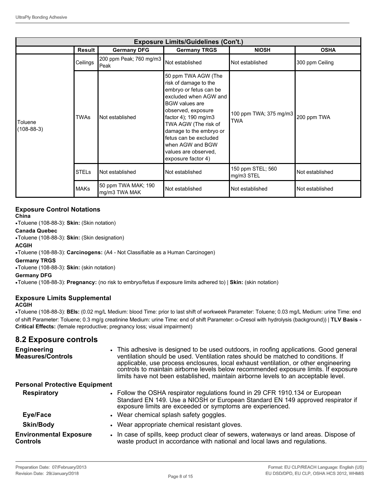| <b>Exposure Limits/Guidelines (Con't.)</b> |              |                                      |                                                                                                                                                                                                                                                                                                                      |                                      |                 |  |
|--------------------------------------------|--------------|--------------------------------------|----------------------------------------------------------------------------------------------------------------------------------------------------------------------------------------------------------------------------------------------------------------------------------------------------------------------|--------------------------------------|-----------------|--|
|                                            | Result       | <b>Germany DFG</b>                   | <b>Germany TRGS</b>                                                                                                                                                                                                                                                                                                  | <b>NIOSH</b>                         | <b>OSHA</b>     |  |
| Ceilings                                   |              | 200 ppm Peak; 760 mg/m3<br>Peak      | Not established                                                                                                                                                                                                                                                                                                      | Not established                      | 300 ppm Ceiling |  |
| Toluene<br>$(108 - 88 - 3)$                | <b>TWAs</b>  | Not established                      | 50 ppm TWA AGW (The<br>risk of damage to the<br>embryo or fetus can be<br>excluded when AGW and<br><b>BGW</b> values are<br>observed, exposure<br>factor 4); 190 mg/m3<br>TWA AGW (The risk of<br>damage to the embryo or<br>fetus can be excluded<br>when AGW and BGW<br>values are observed,<br>exposure factor 4) | 100 ppm TWA; 375 mg/m3<br><b>TWA</b> | 200 ppm TWA     |  |
|                                            | <b>STELs</b> | Not established                      | Not established                                                                                                                                                                                                                                                                                                      | 150 ppm STEL; 560<br>mg/m3 STEL      | Not established |  |
|                                            | <b>MAKs</b>  | 50 ppm TWA MAK; 190<br>mg/m3 TWA MAK | Not established                                                                                                                                                                                                                                                                                                      | Not established                      | Not established |  |

#### **Exposure Control Notations**

#### **China**

•Toluene (108-88-3): **Skin:** (Skin notation)

#### **Canada Quebec**

•Toluene (108-88-3): **Skin:** (Skin designation)

#### **ACGIH**

•Toluene (108-88-3): **Carcinogens:** (A4 - Not Classifiable as a Human Carcinogen)

#### **Germany TRGS**

•Toluene (108-88-3): **Skin:** (skin notation)

#### **Germany DFG**

•Toluene (108-88-3): **Pregnancy:** (no risk to embryo/fetus if exposure limits adhered to) | **Skin:** (skin notation)

# **Exposure Limits Supplemental**

#### **ACGIH**

•Toluene (108-88-3): **BEIs:** (0.02 mg/L Medium: blood Time: prior to last shift of workweek Parameter: Toluene; 0.03 mg/L Medium: urine Time: end of shift Parameter: Toluene; 0.3 mg/g creatinine Medium: urine Time: end of shift Parameter: o-Cresol with hydrolysis (background)) | **TLV Basis - Critical Effects:** (female reproductive; pregnancy loss; visual impairment)

## **8.2 Exposure controls**

| Engineering<br><b>Measures/Controls</b>          | • This adhesive is designed to be used outdoors, in roofing applications. Good general<br>ventilation should be used. Ventilation rates should be matched to conditions. If<br>applicable, use process enclosures, local exhaust ventilation, or other engineering<br>controls to maintain airborne levels below recommended exposure limits. If exposure<br>limits have not been established, maintain airborne levels to an acceptable level. |
|--------------------------------------------------|-------------------------------------------------------------------------------------------------------------------------------------------------------------------------------------------------------------------------------------------------------------------------------------------------------------------------------------------------------------------------------------------------------------------------------------------------|
| <b>Personal Protective Equipment</b>             |                                                                                                                                                                                                                                                                                                                                                                                                                                                 |
| <b>Respiratory</b>                               | • Follow the OSHA respirator regulations found in 29 CFR 1910.134 or European<br>Standard EN 149. Use a NIOSH or European Standard EN 149 approved respirator if<br>exposure limits are exceeded or symptoms are experienced.                                                                                                                                                                                                                   |
| Eye/Face                                         | • Wear chemical splash safety goggles.                                                                                                                                                                                                                                                                                                                                                                                                          |
| <b>Skin/Body</b>                                 | • Wear appropriate chemical resistant gloves.                                                                                                                                                                                                                                                                                                                                                                                                   |
| <b>Environmental Exposure</b><br><b>Controls</b> | • In case of spills, keep product clear of sewers, waterways or land areas. Dispose of<br>waste product in accordance with national and local laws and regulations.                                                                                                                                                                                                                                                                             |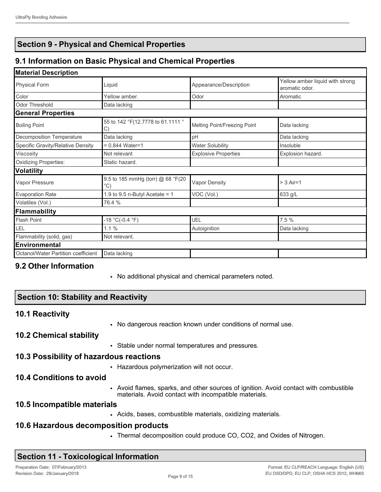# **Section 9 - Physical and Chemical Properties**

# **9.1 Information on Basic Physical and Chemical Properties**

| <b>Material Description</b>         |                                                    |                              |                                                   |
|-------------------------------------|----------------------------------------------------|------------------------------|---------------------------------------------------|
| Physical Form                       | Liquid                                             | Appearance/Description       | Yellow amber liquid with strong<br>aromatic odor. |
| Color                               | Yellow amber.                                      | Odor                         | Aromatic                                          |
| Odor Threshold                      | Data lacking                                       |                              |                                                   |
| <b>General Properties</b>           |                                                    |                              |                                                   |
| <b>Boiling Point</b>                | 55 to 142 °F(12.7778 to 61.1111 °<br>C)            | Melting Point/Freezing Point | Data lacking                                      |
| Decomposition Temperature           | Data lacking                                       | pH                           | Data lacking                                      |
| Specific Gravity/Relative Density   | $= 0.844$ Water=1                                  | <b>Water Solubility</b>      | Insoluble                                         |
| Viscosity                           | Not relevant                                       | <b>Explosive Properties</b>  | Explosion hazard.                                 |
| Oxidizing Properties:               | Static hazard.                                     |                              |                                                   |
| <b>Volatility</b>                   |                                                    |                              |                                                   |
| Vapor Pressure                      | 9.5 to 185 mmHg (torr) @ 68 °F(20<br>$^{\circ}$ C) | <b>Vapor Density</b>         | $> 3$ Air=1                                       |
| <b>Evaporation Rate</b>             | 1.9 to 9.5 n-Butyl Acetate = $1$                   | VOC (Vol.)                   | 633 g/L                                           |
| Volatiles (Vol.)                    | 76.4 %                                             |                              |                                                   |
| <b>Flammability</b>                 |                                                    |                              |                                                   |
| <b>Flash Point</b>                  | $-18 °C(-0.4 °F)$                                  | UEL                          | 7.5 %                                             |
| LEL                                 | 1.1%                                               | Autoignition                 | Data lacking                                      |
| Flammability (solid, gas)           | Not relevant.                                      |                              |                                                   |
| <b>Environmental</b>                |                                                    |                              |                                                   |
| Octanol/Water Partition coefficient | Data lacking                                       |                              |                                                   |
|                                     |                                                    |                              |                                                   |

# **9.2 Other Information**

• No additional physical and chemical parameters noted.

# **Section 10: Stability and Reactivity**

# **10.1 Reactivity**

• No dangerous reaction known under conditions of normal use.

## **10.2 Chemical stability**

• Stable under normal temperatures and pressures.

# **10.3 Possibility of hazardous reactions**

• Hazardous polymerization will not occur.

# **10.4 Conditions to avoid**

• Avoid flames, sparks, and other sources of ignition. Avoid contact with combustible materials. Avoid contact with incompatible materials.

# **10.5 Incompatible materials**

• Acids, bases, combustible materials, oxidizing materials.

# **10.6 Hazardous decomposition products**

• Thermal decomposition could produce CO, CO2, and Oxides of Nitrogen.

# **Section 11 - Toxicological Information**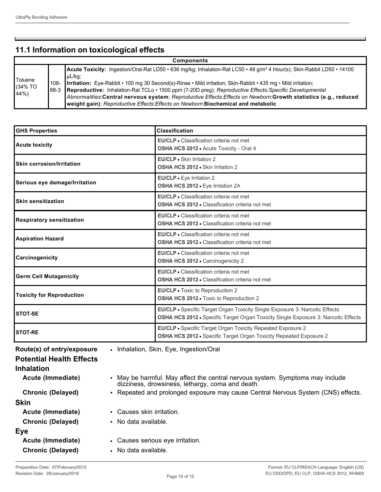# **11.1 Information on toxicological effects**

| <b>Components</b>                           |                 |                                                                                                                                                                                                                                                                                                                                                                                                                                                                                                                                                                                                   |  |  |  |
|---------------------------------------------|-----------------|---------------------------------------------------------------------------------------------------------------------------------------------------------------------------------------------------------------------------------------------------------------------------------------------------------------------------------------------------------------------------------------------------------------------------------------------------------------------------------------------------------------------------------------------------------------------------------------------------|--|--|--|
| <b>Toluene</b><br>$(34\%$ TO<br><b>44%)</b> | $108 -$<br>88-3 | Acute Toxicity: Ingestion/Oral-Rat LD50 · 636 mg/kg; Inhalation-Rat LC50 · 49 g/m <sup>3</sup> 4 Hour(s); Skin-Rabbit LD50 · 14100<br>  µL/kg;<br><b>Irritation:</b> Eye-Rabbit • 100 mg 30 Second(s)-Rinse • Mild irritation; Skin-Rabbit • 435 mg • Mild irritation;<br>Reproductive: Inhalation-Rat TCLo · 1500 ppm (7-20D preg); Reproductive Effects: Specific Developmental<br>Abnormalities:Central nervous system; Reproductive Effects:Effects on Newborn:Growth statistics (e.g., reduced<br><b>I</b> weight gain); Reproductive Effects: Effects on Newborn: Biochemical and metabolic |  |  |  |

| <b>GHS Properties</b>            | <b>Classification</b>                                                                                                                                                    |
|----------------------------------|--------------------------------------------------------------------------------------------------------------------------------------------------------------------------|
| <b>Acute toxicity</b>            | <b>EU/CLP</b> • Classification criteria not met<br>OSHA HCS 2012 . Acute Toxicity - Oral 4                                                                               |
| <b>Skin corrosion/Irritation</b> | EU/CLP • Skin Irritation 2<br>OSHA HCS 2012 . Skin Irritation 2                                                                                                          |
| Serious eye damage/Irritation    | EU/CLP · Eye Irritation 2<br>OSHA HCS 2012 . Eye Irritation 2A                                                                                                           |
| <b>Skin sensitization</b>        | <b>EU/CLP</b> • Classification criteria not met<br><b>OSHA HCS 2012 • Classification criteria not met</b>                                                                |
| <b>Respiratory sensitization</b> | EU/CLP • Classification criteria not met<br><b>OSHA HCS 2012 • Classification criteria not met</b>                                                                       |
| <b>Aspiration Hazard</b>         | EU/CLP • Classification criteria not met<br>OSHA HCS 2012 . Classification criteria not met                                                                              |
| Carcinogenicity                  | EU/CLP • Classification criteria not met<br>OSHA HCS 2012 - Carcinogenicity 2                                                                                            |
| <b>Germ Cell Mutagenicity</b>    | EU/CLP · Classification criteria not met<br><b>OSHA HCS 2012 • Classification criteria not met</b>                                                                       |
| <b>Toxicity for Reproduction</b> | EU/CLP . Toxic to Reproduction 2<br>OSHA HCS 2012 . Toxic to Reproduction 2                                                                                              |
| <b>STOT-SE</b>                   | EU/CLP • Specific Target Organ Toxicity Single Exposure 3: Narcotic Effects<br><b>OSHA HCS 2012 •</b> Specific Target Organ Toxicity Single Exposure 3: Narcotic Effects |
| <b>STOT-RE</b>                   | <b>EU/CLP</b> • Specific Target Organ Toxicity Repeated Exposure 2<br>OSHA HCS 2012 · Specific Target Organ Toxicity Repeated Exposure 2                                 |

| Route(s) of entry/exposure<br><b>Potential Health Effects</b><br><b>Inhalation</b> | • Inhalation, Skin, Eye, Ingestion/Oral                                                                                           |
|------------------------------------------------------------------------------------|-----------------------------------------------------------------------------------------------------------------------------------|
| Acute (Immediate)                                                                  | • May be harmful. May affect the central nervous system. Symptoms may include<br>dizziness, drowsiness, lethargy, coma and death. |
| <b>Chronic (Delayed)</b>                                                           | • Repeated and prolonged exposure may cause Central Nervous System (CNS) effects.                                                 |
| <b>Skin</b>                                                                        |                                                                                                                                   |
| Acute (Immediate)                                                                  | • Causes skin irritation.                                                                                                         |
| <b>Chronic (Delayed)</b>                                                           | • No data available.                                                                                                              |
| Eye                                                                                |                                                                                                                                   |
| Acute (Immediate)                                                                  | • Causes serious eye irritation.                                                                                                  |
| <b>Chronic (Delayed)</b>                                                           | • No data available.                                                                                                              |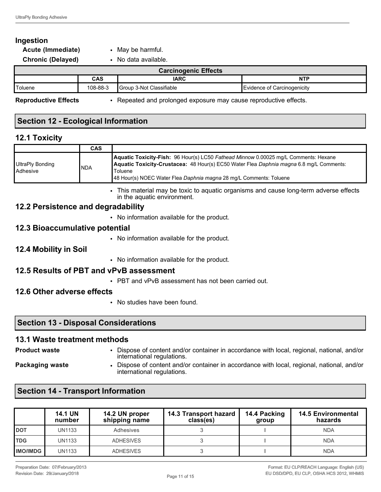## **Ingestion**

#### **Acute (Immediate)** • May be harmful.

**Chronic (Delayed)** 

|  | No data available. |
|--|--------------------|
|  |                    |

| <b>Carcinogenic Effects</b>      |          |                          |                             |  |  |
|----------------------------------|----------|--------------------------|-----------------------------|--|--|
| <b>NTP</b><br><b>IARC</b><br>CAS |          |                          |                             |  |  |
| Toluene                          | 108-88-3 | Group 3-Not Classifiable | Evidence of Carcinogenicity |  |  |
|                                  |          |                          |                             |  |  |

**Reproductive Effects** • Repeated and prolonged exposure may cause reproductive effects.

# **Section 12 - Ecological Information**

# **12.1 Toxicity**

|                              | <b>CAS</b> |                                                                                                                                                                                                                                                                 |
|------------------------------|------------|-----------------------------------------------------------------------------------------------------------------------------------------------------------------------------------------------------------------------------------------------------------------|
| UltraPly Bonding<br>Adhesive | INDA       | Aquatic Toxicity-Fish: 96 Hour(s) LC50 Fathead Minnow 0.00025 mg/L Comments: Hexane<br>Aquatic Toxicity-Crustacea: 48 Hour(s) EC50 Water Flea Daphnia magna 6.8 mg/L Comments:<br>Toluene<br>48 Hour(s) NOEC Water Flea Daphnia magna 28 mg/L Comments: Toluene |

• This material may be toxic to aquatic organisms and cause long-term adverse effects in the aquatic environment.

## **12.2 Persistence and degradability**

• No information available for the product.

## **12.3 Bioaccumulative potential**

• No information available for the product.

## **12.4 Mobility in Soil**

• No information available for the product.

## **12.5 Results of PBT and vPvB assessment**

• PBT and vPvB assessment has not been carried out.

# **12.6 Other adverse effects**

• No studies have been found.

## **Section 13 - Disposal Considerations**

## **13.1 Waste treatment methods**

- **Product waste** Dispose of content and/or container in accordance with local, regional, national, and/or international regulations.
- 
- 
- **Packaging waste** Dispose of content and/or container in accordance with local, regional, national, and/or international regulations.

# **Section 14 - Transport Information**

|                 | <b>14.1 UN</b><br>number | 14.2 UN proper<br>shipping name | 14.3 Transport hazard<br>class(es) | 14.4 Packing<br>group | <b>14.5 Environmental</b><br>hazards |
|-----------------|--------------------------|---------------------------------|------------------------------------|-----------------------|--------------------------------------|
| <b>DOT</b>      | <b>UN1133</b>            | Adhesives                       |                                    |                       | <b>NDA</b>                           |
| <b>TDG</b>      | <b>UN1133</b>            | <b>ADHESIVES</b>                |                                    |                       | <b>NDA</b>                           |
| <b>IMO/IMDG</b> | <b>UN1133</b>            | <b>ADHESIVES</b>                |                                    |                       | <b>NDA</b>                           |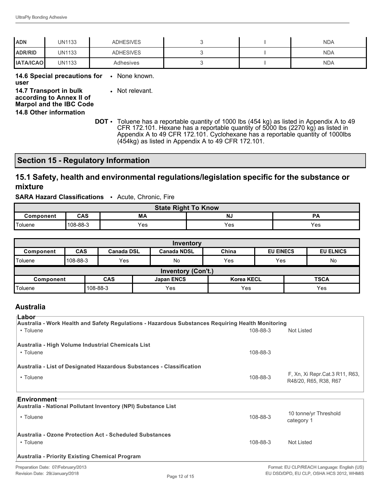| <b>ADN</b>       | UN1133 | <b>ADHESIVES</b> |  | <b>NDA</b> |
|------------------|--------|------------------|--|------------|
| ADR/RID          | UN1133 | <b>ADHESIVES</b> |  | <b>NDA</b> |
| <b>IATA/ICAO</b> | UN1133 | Adhesives        |  | <b>NDA</b> |

**14.6 Special precautions for**  • None known.

**user**

**14.7 Transport in bulk according to Annex II of**  • Not relevant.

**Marpol and the IBC Code**

**14.8 Other information**

**DOT** • Toluene has a reportable quantity of 1000 lbs (454 kg) as listed in Appendix A to 49 CFR 172.101. Hexane has a reportable quantity of 5000 lbs (2270 kg) as listed in Appendix A to 49 CFR 172.101. Cyclohexane has a reportable quantity of 1000lbs (454kg) as listed in Appendix A to 49 CFR 172.101.

# **Section 15 - Regulatory Information**

# **15.1 Safety, health and environmental regulations/legislation specific for the substance or mixture**

### **SARA Hazard Classifications** • Acute, Chronic, Fire

| <b>State Right To Know</b> |                |     |           |           |
|----------------------------|----------------|-----|-----------|-----------|
| Component                  | CAS            | MA  | <b>NJ</b> | <b>PA</b> |
| Toluene                    | $108 - 88 - 3$ | Yes | Yes       | Yes       |

| Inventory                                                         |            |                   |  |                    |       |                  |  |                  |
|-------------------------------------------------------------------|------------|-------------------|--|--------------------|-------|------------------|--|------------------|
| Component                                                         | <b>CAS</b> | <b>Canada DSL</b> |  | <b>Canada NDSL</b> | China | <b>EU EINECS</b> |  | <b>EU ELNICS</b> |
| <b>I</b> Toluene                                                  | 108-88-3   | Yes               |  | No                 | Yes   | Yes              |  | No               |
| <b>Inventory (Con't.)</b>                                         |            |                   |  |                    |       |                  |  |                  |
| <b>CAS</b><br><b>Japan ENCS</b><br><b>Korea KECL</b><br>Component |            | <b>TSCA</b>       |  |                    |       |                  |  |                  |
| <i><u><b>Toluene</b></u></i>                                      |            | 108-88-3          |  | Yes                | Yes   |                  |  | Yes              |

# **Australia**

| ⊺Labor <sup>.</sup>                                                                               |          |                                                         |  |
|---------------------------------------------------------------------------------------------------|----------|---------------------------------------------------------|--|
| Australia - Work Health and Safety Regulations - Hazardous Substances Requiring Health Monitoring |          |                                                         |  |
| • Toluene                                                                                         | 108-88-3 | Not Listed                                              |  |
| Australia - High Volume Industrial Chemicals List                                                 |          |                                                         |  |
| • Toluene                                                                                         | 108-88-3 |                                                         |  |
| Australia - List of Designated Hazardous Substances - Classification                              |          |                                                         |  |
| • Toluene                                                                                         | 108-88-3 | F, Xn, Xi Repr.Cat.3 R11, R63,<br>R48/20, R65, R38, R67 |  |
| <b>⊦Environment</b>                                                                               |          |                                                         |  |
| Australia - National Pollutant Inventory (NPI) Substance List                                     |          |                                                         |  |
| • Toluene                                                                                         | 108-88-3 | 10 tonne/yr Threshold<br>category 1                     |  |
| Australia - Ozone Protection Act - Scheduled Substances                                           |          |                                                         |  |
| • Toluene                                                                                         | 108-88-3 | Not Listed                                              |  |
| Australia - Priority Existing Chemical Program                                                    |          |                                                         |  |
| Preparation Date: 07/February/2013<br>Format: EU CLP/REACH Language: English (US)                 |          |                                                         |  |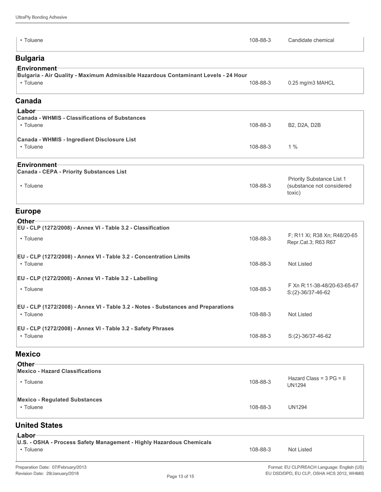| • Toluene                                                                                                      | 108-88-3 | Candidate chemical                                     |
|----------------------------------------------------------------------------------------------------------------|----------|--------------------------------------------------------|
| <b>Bulgaria</b>                                                                                                |          |                                                        |
| Environment<br>Bulgaria - Air Quality - Maximum Admissible Hazardous Contaminant Levels - 24 Hour<br>• Toluene | 108-88-3 | 0.25 mg/m3 MAHCL                                       |
| Canada                                                                                                         |          |                                                        |
| ⊺Labor<br><b>Canada - WHMIS - Classifications of Substances</b><br>• Toluene                                   | 108-88-3 | B2, D2A, D2B                                           |
| Canada - WHMIS - Ingredient Disclosure List<br>• Toluene                                                       | 108-88-3 | 1%                                                     |
| <sub>⊺</sub> Environment⊣<br><b>Canada - CEPA - Priority Substances List</b><br>• Toluene                      | 108-88-3 | Priority Substance List 1<br>(substance not considered |
|                                                                                                                |          | toxic)                                                 |
| <b>Europe</b>                                                                                                  |          |                                                        |
| <sub>⊺</sub> Other⊢<br>EU - CLP (1272/2008) - Annex VI - Table 3.2 - Classification                            |          |                                                        |
| • Toluene                                                                                                      | 108-88-3 | F; R11 Xi; R38 Xn; R48/20-65<br>Repr.Cat.3; R63 R67    |
| EU - CLP (1272/2008) - Annex VI - Table 3.2 - Concentration Limits<br>• Toluene                                | 108-88-3 | <b>Not Listed</b>                                      |
| EU - CLP (1272/2008) - Annex VI - Table 3.2 - Labelling<br>• Toluene                                           | 108-88-3 | F Xn R:11-38-48/20-63-65-67<br>$S:(2)-36/37-46-62$     |
| EU - CLP (1272/2008) - Annex VI - Table 3.2 - Notes - Substances and Preparations<br>• Toluene                 | 108-88-3 | Not Listed                                             |
| EU - CLP (1272/2008) - Annex VI - Table 3.2 - Safety Phrases<br>• Toluene                                      | 108-88-3 | $S:(2)-36/37-46-62$                                    |
| <b>Mexico</b>                                                                                                  |          |                                                        |
| Other-<br><b>Mexico - Hazard Classifications</b>                                                               |          |                                                        |
| • Toluene                                                                                                      | 108-88-3 | Hazard Class = $3 PG = II$<br><b>UN1294</b>            |
| <b>Mexico - Regulated Substances</b><br>• Toluene                                                              | 108-88-3 | <b>UN1294</b>                                          |
| <b>United States</b>                                                                                           |          |                                                        |
| <sub>⊺</sub> Labor⊣<br>U.S. - OSHA - Process Safety Management - Highly Hazardous Chemicals<br>• Toluene       | 108-88-3 | Not Listed                                             |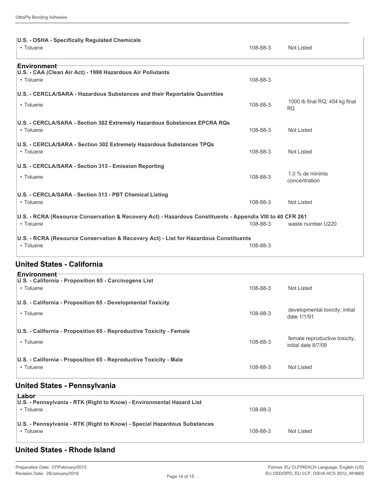| U.S. - OSHA - Specifically Regulated Chemicals<br>• Toluene                                               | 108-88-3 | <b>Not Listed</b>                           |  |  |
|-----------------------------------------------------------------------------------------------------------|----------|---------------------------------------------|--|--|
| <b>Environment</b>                                                                                        |          |                                             |  |  |
| U.S. - CAA (Clean Air Act) - 1990 Hazardous Air Pollutants                                                |          |                                             |  |  |
| • Toluene                                                                                                 | 108-88-3 |                                             |  |  |
| U.S. - CERCLA/SARA - Hazardous Substances and their Reportable Quantities                                 |          |                                             |  |  |
| • Toluene                                                                                                 | 108-88-3 | 1000 lb final RQ; 454 kg final<br><b>RQ</b> |  |  |
| U.S. - CERCLA/SARA - Section 302 Extremely Hazardous Substances EPCRA RQs                                 |          |                                             |  |  |
| • Toluene                                                                                                 | 108-88-3 | Not Listed                                  |  |  |
| U.S. - CERCLA/SARA - Section 302 Extremely Hazardous Substances TPQs                                      |          |                                             |  |  |
| • Toluene                                                                                                 | 108-88-3 | Not Listed                                  |  |  |
| U.S. - CERCLA/SARA - Section 313 - Emission Reporting                                                     |          |                                             |  |  |
| • Toluene                                                                                                 | 108-88-3 | 1.0 % de minimis<br>concentration           |  |  |
| U.S. - CERCLA/SARA - Section 313 - PBT Chemical Listing                                                   |          |                                             |  |  |
| • Toluene                                                                                                 | 108-88-3 | Not Listed                                  |  |  |
| U.S. - RCRA (Resource Conservation & Recovery Act) - Hazardous Constituents - Appendix VIII to 40 CFR 261 |          |                                             |  |  |
| • Toluene                                                                                                 | 108-88-3 | waste number U220                           |  |  |
| U.S. - RCRA (Resource Conservation & Recovery Act) - List for Hazardous Constituents                      |          |                                             |  |  |
| • Toluene                                                                                                 | 108-88-3 |                                             |  |  |

# **United States - California**

| ⊪Environment<br>U.S. - California - Proposition 65 - Carcinogens List            |          |                                                      |
|----------------------------------------------------------------------------------|----------|------------------------------------------------------|
| • Toluene                                                                        | 108-88-3 | Not Listed                                           |
| U.S. - California - Proposition 65 - Developmental Toxicity<br>• Toluene         | 108-88-3 | developmental toxicity, initial<br>date 1/1/91       |
| U.S. - California - Proposition 65 - Reproductive Toxicity - Female<br>• Toluene | 108-88-3 | female reproductive toxicity.<br>initial date 8/7/09 |
| U.S. - California - Proposition 65 - Reproductive Toxicity - Male<br>• Toluene   | 108-88-3 | Not Listed                                           |

## **United States - Pennsylvania**

| ⊤Labor<br>U.S. - Pennsylvania - RTK (Right to Know) - Environmental Hazard List       |                |            |
|---------------------------------------------------------------------------------------|----------------|------------|
| $\cdot$ Toluene                                                                       | 108-88-3       |            |
| U.S. - Pennsylvania - RTK (Right to Know) - Special Hazardous Substances<br>• Toluene | $108 - 88 - 3$ | Not Listed |

# **United States - Rhode Island**